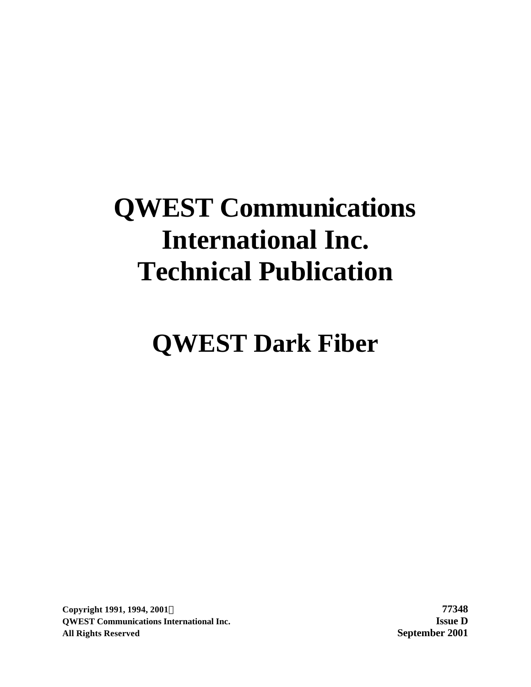# **QWEST Communications International Inc. Technical Publication**

# **QWEST Dark Fiber**

**Copyright 1991, 1994, 2001Ó 77348 QWEST Communications International Inc. Issue D All Rights Reserved September 2001**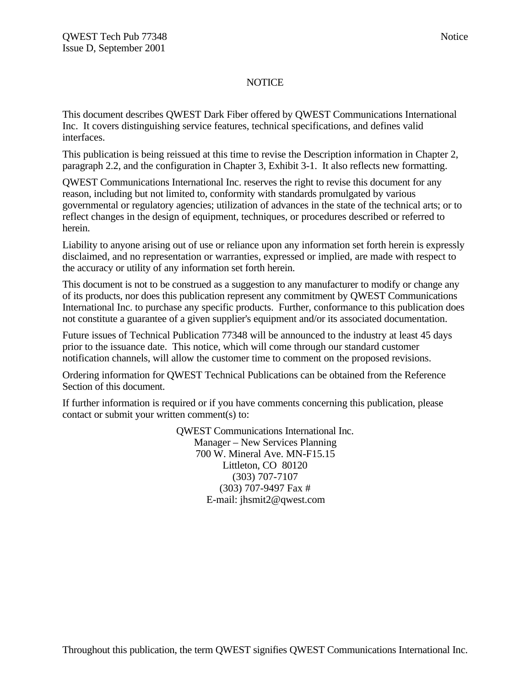#### **NOTICE**

This document describes QWEST Dark Fiber offered by QWEST Communications International Inc. It covers distinguishing service features, technical specifications, and defines valid interfaces.

This publication is being reissued at this time to revise the Description information in Chapter 2, paragraph 2.2, and the configuration in Chapter 3, Exhibit 3-1. It also reflects new formatting.

QWEST Communications International Inc. reserves the right to revise this document for any reason, including but not limited to, conformity with standards promulgated by various governmental or regulatory agencies; utilization of advances in the state of the technical arts; or to reflect changes in the design of equipment, techniques, or procedures described or referred to herein.

Liability to anyone arising out of use or reliance upon any information set forth herein is expressly disclaimed, and no representation or warranties, expressed or implied, are made with respect to the accuracy or utility of any information set forth herein.

This document is not to be construed as a suggestion to any manufacturer to modify or change any of its products, nor does this publication represent any commitment by QWEST Communications International Inc. to purchase any specific products. Further, conformance to this publication does not constitute a guarantee of a given supplier's equipment and/or its associated documentation.

Future issues of Technical Publication 77348 will be announced to the industry at least 45 days prior to the issuance date. This notice, which will come through our standard customer notification channels, will allow the customer time to comment on the proposed revisions.

Ordering information for QWEST Technical Publications can be obtained from the Reference Section of this document.

If further information is required or if you have comments concerning this publication, please contact or submit your written comment(s) to:

> QWEST Communications International Inc. Manager – New Services Planning 700 W. Mineral Ave. MN-F15.15 Littleton, CO 80120 (303) 707-7107 (303) 707-9497 Fax # E-mail: jhsmit2@qwest.com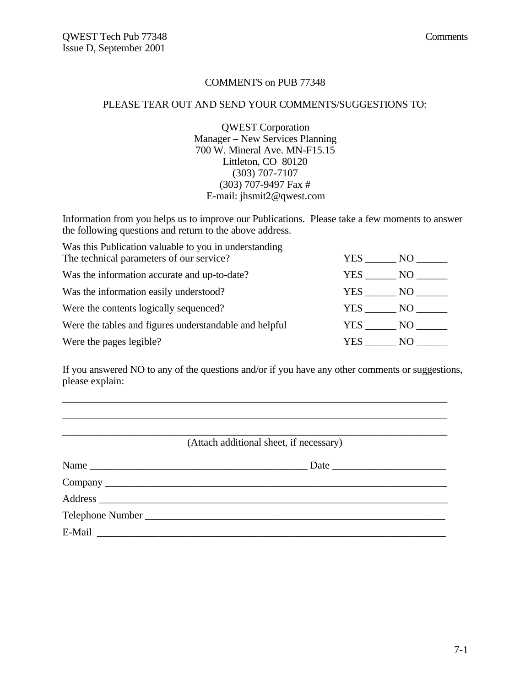#### COMMENTS on PUB 77348

#### PLEASE TEAR OUT AND SEND YOUR COMMENTS/SUGGESTIONS TO:

QWEST Corporation Manager – New Services Planning 700 W. Mineral Ave. MN-F15.15 Littleton, CO 80120 (303) 707-7107 (303) 707-9497 Fax # E-mail: jhsmit2@qwest.com

Information from you helps us to improve our Publications. Please take a few moments to answer the following questions and return to the above address.

| Was this Publication valuable to you in understanding  |        |      |
|--------------------------------------------------------|--------|------|
| The technical parameters of our service?               | YES    | NO - |
| Was the information accurate and up-to-date?           | YES    | NO   |
| Was the information easily understood?                 | YES NO |      |
| Were the contents logically sequenced?                 | YES NO |      |
| Were the tables and figures understandable and helpful | YES NO |      |
| Were the pages legible?                                | YES.   | NO.  |

If you answered NO to any of the questions and/or if you have any other comments or suggestions, please explain:

\_\_\_\_\_\_\_\_\_\_\_\_\_\_\_\_\_\_\_\_\_\_\_\_\_\_\_\_\_\_\_\_\_\_\_\_\_\_\_\_\_\_\_\_\_\_\_\_\_\_\_\_\_\_\_\_\_\_\_\_\_\_\_\_\_\_\_\_\_\_\_\_\_\_

| (Attach additional sheet, if necessary) |
|-----------------------------------------|
|                                         |
|                                         |
|                                         |
|                                         |
|                                         |
|                                         |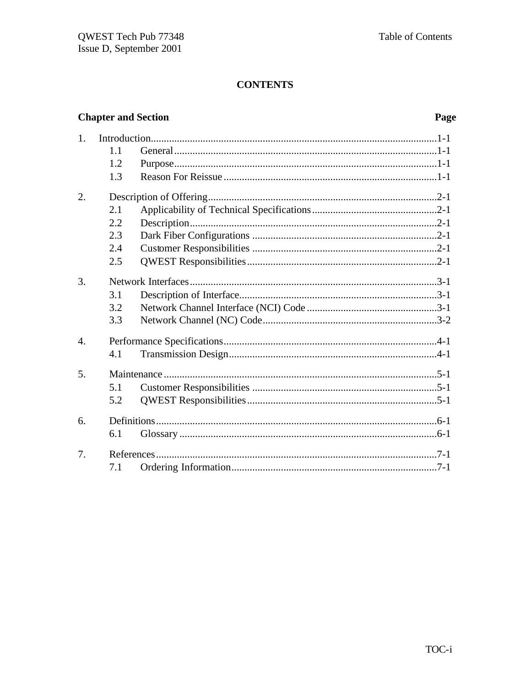# **Chapter and Section**

# Page

| 1.               |     |  |
|------------------|-----|--|
|                  | 1.1 |  |
|                  | 1.2 |  |
|                  | 1.3 |  |
| 2.               |     |  |
|                  | 2.1 |  |
|                  | 2.2 |  |
|                  | 2.3 |  |
|                  | 2.4 |  |
|                  | 2.5 |  |
| 3.               |     |  |
|                  | 3.1 |  |
|                  | 3.2 |  |
|                  | 3.3 |  |
| $\overline{4}$ . |     |  |
|                  | 4.1 |  |
| 5.               |     |  |
|                  | 5.1 |  |
|                  | 5.2 |  |
| 6.               |     |  |
|                  | 6.1 |  |
| 7.               |     |  |
|                  | 7.1 |  |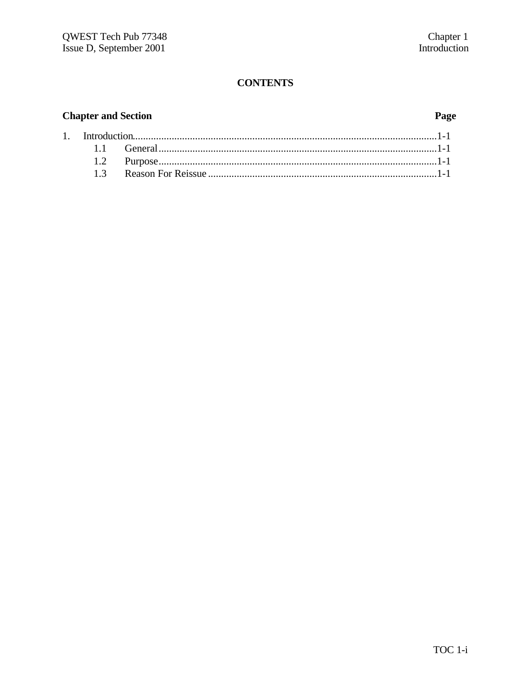# **Chapter and Section**

 $\overline{1}$ .

# Page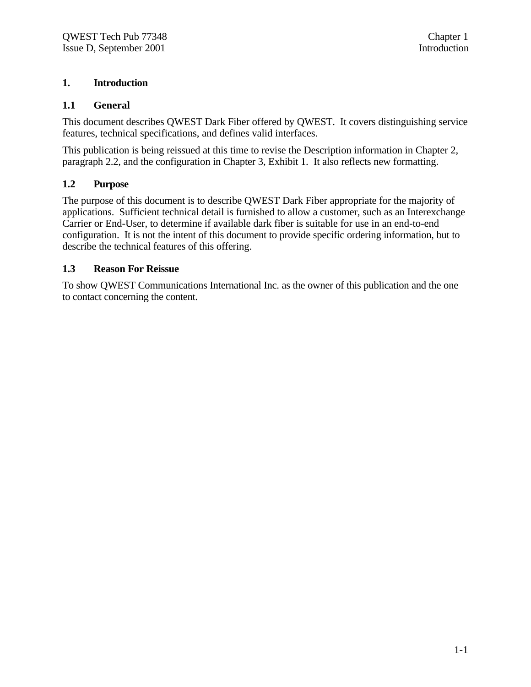#### **1. Introduction**

#### **1.1 General**

This document describes QWEST Dark Fiber offered by QWEST. It covers distinguishing service features, technical specifications, and defines valid interfaces.

This publication is being reissued at this time to revise the Description information in Chapter 2, paragraph 2.2, and the configuration in Chapter 3, Exhibit 1. It also reflects new formatting.

#### **1.2 Purpose**

The purpose of this document is to describe QWEST Dark Fiber appropriate for the majority of applications. Sufficient technical detail is furnished to allow a customer, such as an Interexchange Carrier or End-User, to determine if available dark fiber is suitable for use in an end-to-end configuration. It is not the intent of this document to provide specific ordering information, but to describe the technical features of this offering.

#### **1.3 Reason For Reissue**

To show QWEST Communications International Inc. as the owner of this publication and the one to contact concerning the content.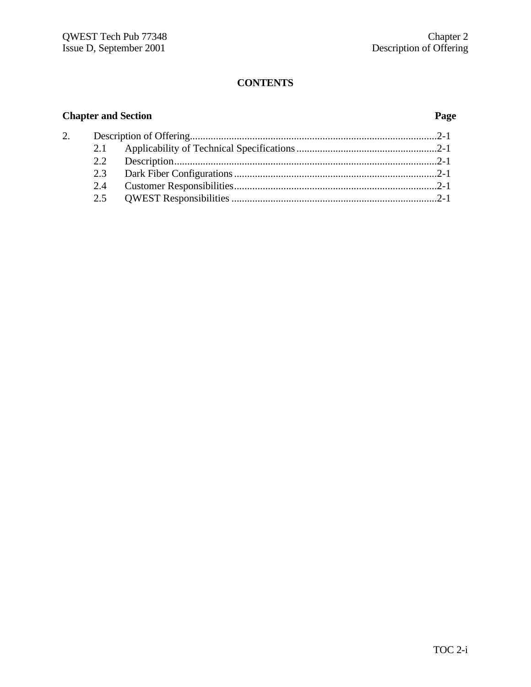| 2. |  |  |
|----|--|--|
|    |  |  |
|    |  |  |
|    |  |  |
|    |  |  |
|    |  |  |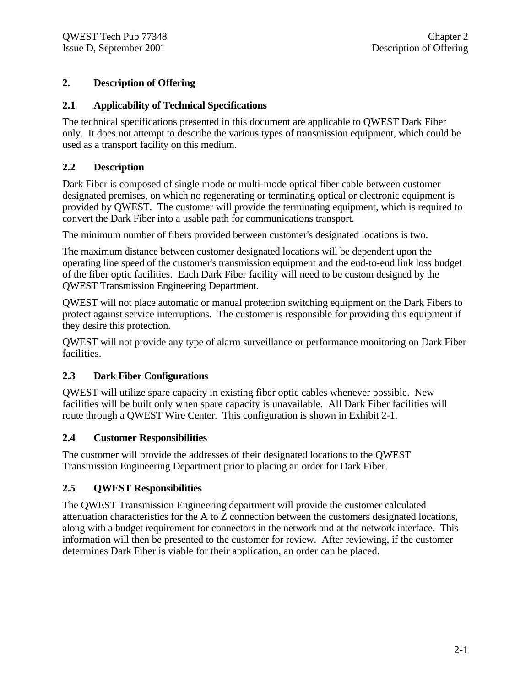## **2. Description of Offering**

### **2.1 Applicability of Technical Specifications**

The technical specifications presented in this document are applicable to QWEST Dark Fiber only. It does not attempt to describe the various types of transmission equipment, which could be used as a transport facility on this medium.

### **2.2 Description**

Dark Fiber is composed of single mode or multi-mode optical fiber cable between customer designated premises, on which no regenerating or terminating optical or electronic equipment is provided by QWEST. The customer will provide the terminating equipment, which is required to convert the Dark Fiber into a usable path for communications transport.

The minimum number of fibers provided between customer's designated locations is two.

The maximum distance between customer designated locations will be dependent upon the operating line speed of the customer's transmission equipment and the end-to-end link loss budget of the fiber optic facilities. Each Dark Fiber facility will need to be custom designed by the QWEST Transmission Engineering Department.

QWEST will not place automatic or manual protection switching equipment on the Dark Fibers to protect against service interruptions. The customer is responsible for providing this equipment if they desire this protection.

QWEST will not provide any type of alarm surveillance or performance monitoring on Dark Fiber facilities.

### **2.3 Dark Fiber Configurations**

QWEST will utilize spare capacity in existing fiber optic cables whenever possible. New facilities will be built only when spare capacity is unavailable. All Dark Fiber facilities will route through a QWEST Wire Center. This configuration is shown in Exhibit 2-1.

### **2.4 Customer Responsibilities**

The customer will provide the addresses of their designated locations to the QWEST Transmission Engineering Department prior to placing an order for Dark Fiber.

## **2.5 QWEST Responsibilities**

The QWEST Transmission Engineering department will provide the customer calculated attenuation characteristics for the A to Z connection between the customers designated locations, along with a budget requirement for connectors in the network and at the network interface. This information will then be presented to the customer for review. After reviewing, if the customer determines Dark Fiber is viable for their application, an order can be placed.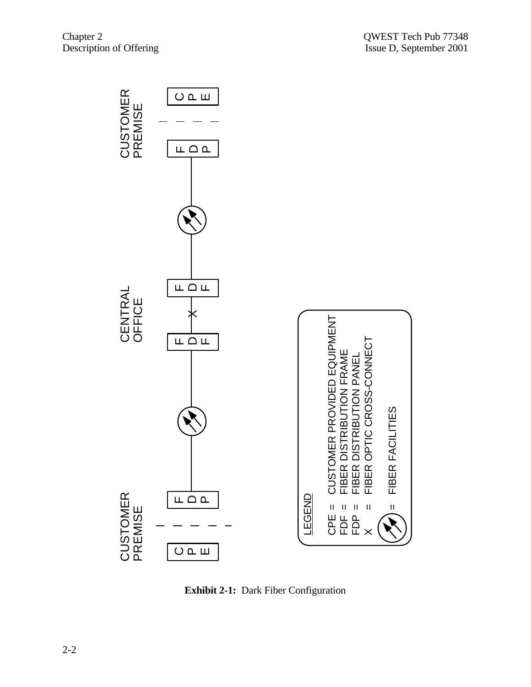

**Exhibit 2-1:** Dark Fiber Configuration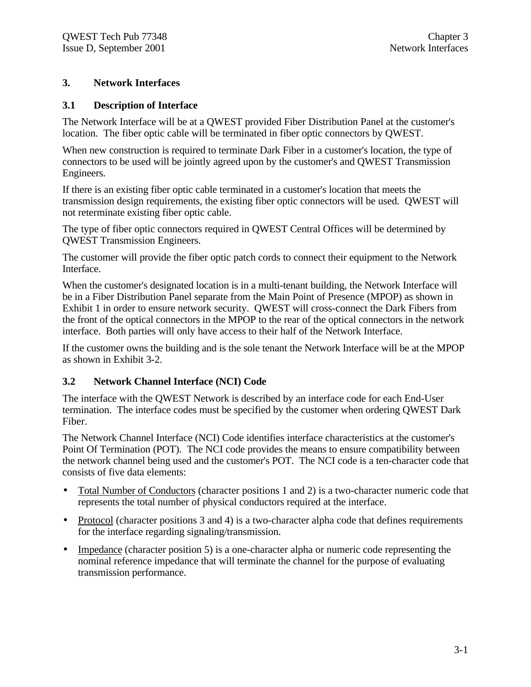#### **3. Network Interfaces**

#### **3.1 Description of Interface**

The Network Interface will be at a QWEST provided Fiber Distribution Panel at the customer's location. The fiber optic cable will be terminated in fiber optic connectors by QWEST.

When new construction is required to terminate Dark Fiber in a customer's location, the type of connectors to be used will be jointly agreed upon by the customer's and QWEST Transmission Engineers.

If there is an existing fiber optic cable terminated in a customer's location that meets the transmission design requirements, the existing fiber optic connectors will be used. QWEST will not reterminate existing fiber optic cable.

The type of fiber optic connectors required in QWEST Central Offices will be determined by QWEST Transmission Engineers.

The customer will provide the fiber optic patch cords to connect their equipment to the Network Interface.

When the customer's designated location is in a multi-tenant building, the Network Interface will be in a Fiber Distribution Panel separate from the Main Point of Presence (MPOP) as shown in Exhibit 1 in order to ensure network security. QWEST will cross-connect the Dark Fibers from the front of the optical connectors in the MPOP to the rear of the optical connectors in the network interface. Both parties will only have access to their half of the Network Interface.

If the customer owns the building and is the sole tenant the Network Interface will be at the MPOP as shown in Exhibit 3-2.

#### **3.2 Network Channel Interface (NCI) Code**

The interface with the QWEST Network is described by an interface code for each End-User termination. The interface codes must be specified by the customer when ordering QWEST Dark Fiber.

The Network Channel Interface (NCI) Code identifies interface characteristics at the customer's Point Of Termination (POT). The NCI code provides the means to ensure compatibility between the network channel being used and the customer's POT. The NCI code is a ten-character code that consists of five data elements:

- Total Number of Conductors (character positions 1 and 2) is a two-character numeric code that represents the total number of physical conductors required at the interface.
- Protocol (character positions 3 and 4) is a two-character alpha code that defines requirements for the interface regarding signaling/transmission.
- Impedance (character position 5) is a one-character alpha or numeric code representing the nominal reference impedance that will terminate the channel for the purpose of evaluating transmission performance.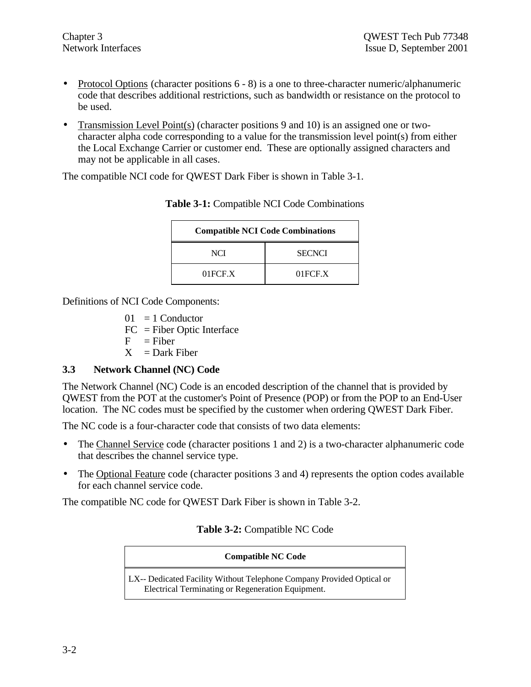- Protocol Options (character positions  $6 8$ ) is a one to three-character numeric/alphanumeric code that describes additional restrictions, such as bandwidth or resistance on the protocol to be used.
- Transmission Level Point(s) (character positions 9 and 10) is an assigned one or twocharacter alpha code corresponding to a value for the transmission level point(s) from either the Local Exchange Carrier or customer end. These are optionally assigned characters and may not be applicable in all cases.

The compatible NCI code for QWEST Dark Fiber is shown in Table 3-1.

| <b>Compatible NCI Code Combinations</b> |               |  |
|-----------------------------------------|---------------|--|
| NCI                                     | <b>SECNCI</b> |  |
| $01$ FCF.X                              | 01FCF.X       |  |

#### **Table 3-1:** Compatible NCI Code Combinations

Definitions of NCI Code Components:

- $01 = 1$  Conductor
- FC = Fiber Optic Interface
- $F =$ Fiber
- $X = Dark Fiber$

### **3.3 Network Channel (NC) Code**

The Network Channel (NC) Code is an encoded description of the channel that is provided by QWEST from the POT at the customer's Point of Presence (POP) or from the POP to an End-User location. The NC codes must be specified by the customer when ordering QWEST Dark Fiber.

The NC code is a four-character code that consists of two data elements:

- The Channel Service code (character positions 1 and 2) is a two-character alphanumeric code that describes the channel service type.
- The Optional Feature code (character positions 3 and 4) represents the option codes available for each channel service code.

The compatible NC code for QWEST Dark Fiber is shown in Table 3-2.

### **Table 3-2:** Compatible NC Code

#### **Compatible NC Code**

LX-- Dedicated Facility Without Telephone Company Provided Optical or Electrical Terminating or Regeneration Equipment.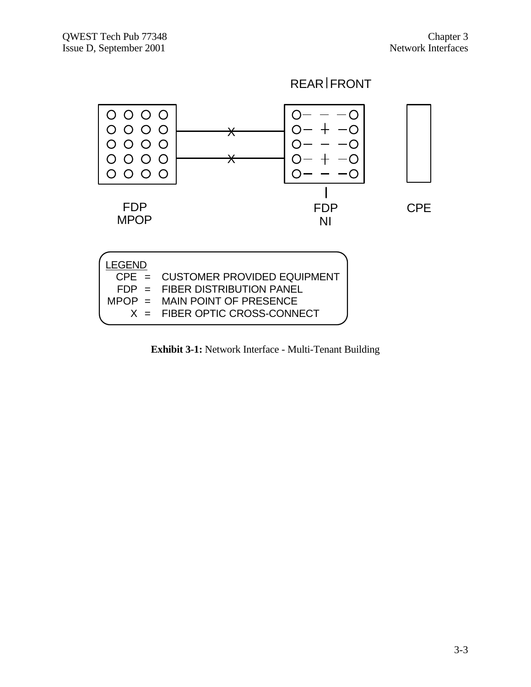



**Exhibit 3-1:** Network Interface - Multi-Tenant Building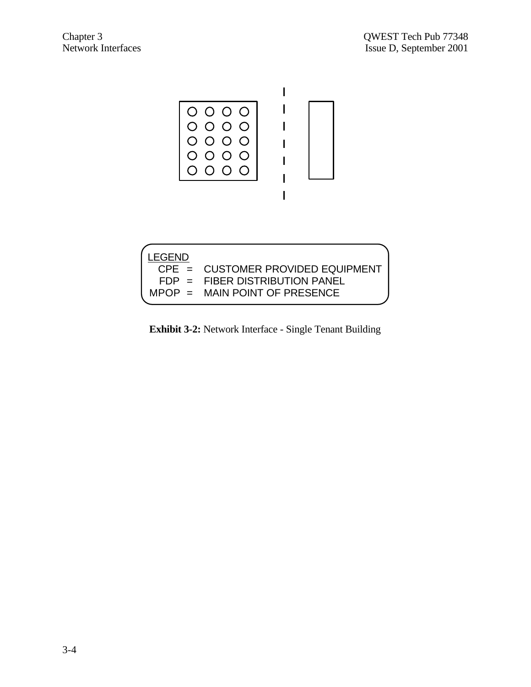

| LEGEND |                                     |
|--------|-------------------------------------|
|        | $CPE = CUSTOMER PROVIDED EQUIPMENT$ |
|        | $FDP = FIBER DISTRIBUTION PANEL$    |
|        | $MPOP = MAIN POINT OF PRESENCE$     |
|        |                                     |

**Exhibit 3-2:** Network Interface - Single Tenant Building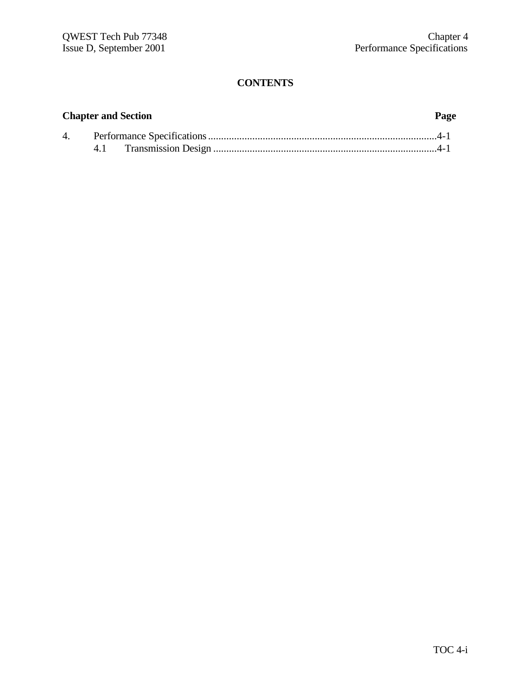| 4. |  |  |
|----|--|--|
|    |  |  |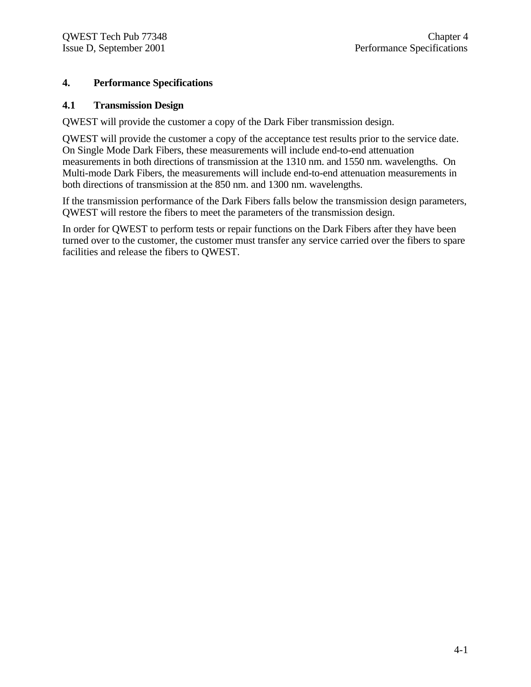### **4. Performance Specifications**

#### **4.1 Transmission Design**

QWEST will provide the customer a copy of the Dark Fiber transmission design.

QWEST will provide the customer a copy of the acceptance test results prior to the service date. On Single Mode Dark Fibers, these measurements will include end-to-end attenuation measurements in both directions of transmission at the 1310 nm. and 1550 nm. wavelengths. On Multi-mode Dark Fibers, the measurements will include end-to-end attenuation measurements in both directions of transmission at the 850 nm. and 1300 nm. wavelengths.

If the transmission performance of the Dark Fibers falls below the transmission design parameters, QWEST will restore the fibers to meet the parameters of the transmission design.

In order for QWEST to perform tests or repair functions on the Dark Fibers after they have been turned over to the customer, the customer must transfer any service carried over the fibers to spare facilities and release the fibers to QWEST.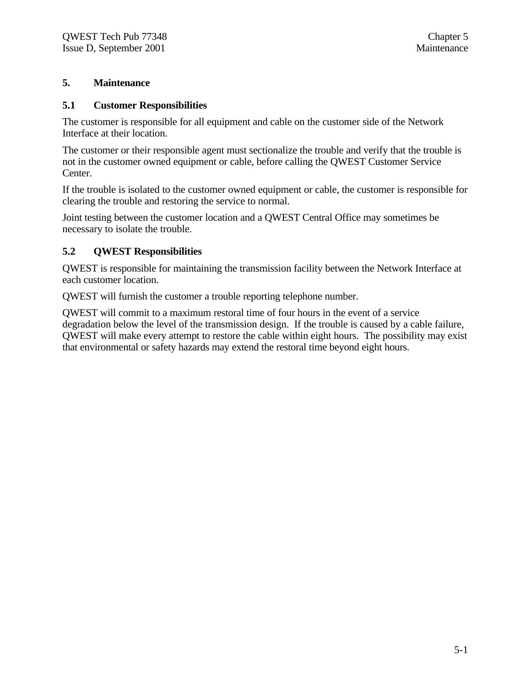#### **5. Maintenance**

#### **5.1 Customer Responsibilities**

The customer is responsible for all equipment and cable on the customer side of the Network Interface at their location.

The customer or their responsible agent must sectionalize the trouble and verify that the trouble is not in the customer owned equipment or cable, before calling the QWEST Customer Service Center.

If the trouble is isolated to the customer owned equipment or cable, the customer is responsible for clearing the trouble and restoring the service to normal.

Joint testing between the customer location and a QWEST Central Office may sometimes be necessary to isolate the trouble.

#### **5.2 QWEST Responsibilities**

QWEST is responsible for maintaining the transmission facility between the Network Interface at each customer location.

QWEST will furnish the customer a trouble reporting telephone number.

QWEST will commit to a maximum restoral time of four hours in the event of a service degradation below the level of the transmission design. If the trouble is caused by a cable failure, QWEST will make every attempt to restore the cable within eight hours. The possibility may exist that environmental or safety hazards may extend the restoral time beyond eight hours.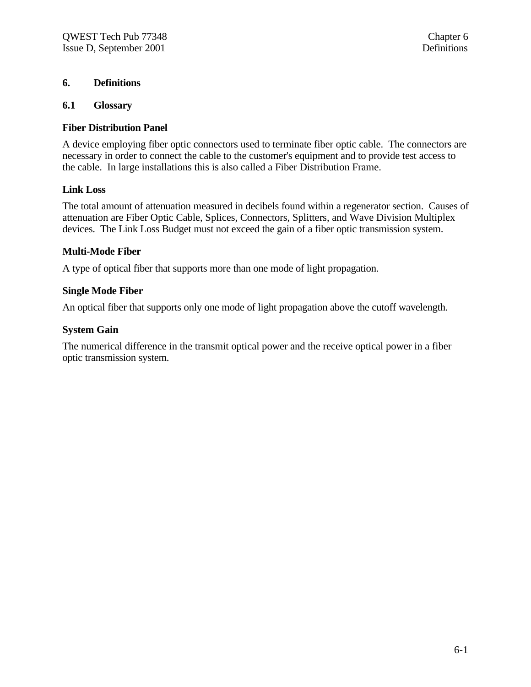#### **6. Definitions**

#### **6.1 Glossary**

#### **Fiber Distribution Panel**

A device employing fiber optic connectors used to terminate fiber optic cable. The connectors are necessary in order to connect the cable to the customer's equipment and to provide test access to the cable. In large installations this is also called a Fiber Distribution Frame.

#### **Link Loss**

The total amount of attenuation measured in decibels found within a regenerator section. Causes of attenuation are Fiber Optic Cable, Splices, Connectors, Splitters, and Wave Division Multiplex devices. The Link Loss Budget must not exceed the gain of a fiber optic transmission system.

#### **Multi-Mode Fiber**

A type of optical fiber that supports more than one mode of light propagation.

#### **Single Mode Fiber**

An optical fiber that supports only one mode of light propagation above the cutoff wavelength.

#### **System Gain**

The numerical difference in the transmit optical power and the receive optical power in a fiber optic transmission system.